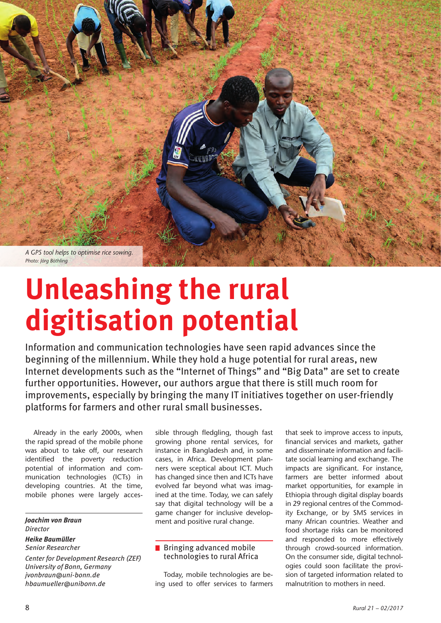

# **Unleashing the rural digitisation potential**

Information and communication technologies have seen rapid advances since the beginning of the millennium. While they hold a huge potential for rural areas, new Internet developments such as the "Internet of Things" and "Big Data" are set to create further opportunities. However, our authors argue that there is still much room for improvements, especially by bringing the many IT initiatives together on user-friendly platforms for farmers and other rural small businesses.

Already in the early 2000s, when the rapid spread of the mobile phone was about to take off, our research identified the poverty reduction potential of information and communication technologies (ICTs) in developing countries. At the time, mobile phones were largely acces-

#### *Joachim von Braun Director Heike Baumüller*

## *Senior Researcher*

*Center for Development Research (ZEF) University of Bonn, Germany jvonbraun@uni-bonn.de hbaumueller@unibonn.de*

sible through fledgling, though fast growing phone rental services, for instance in Bangladesh and, in some cases, in Africa. Development planners were sceptical about ICT. Much has changed since then and ICTs have evolved far beyond what was imagined at the time. Today, we can safely say that digital technology will be a game changer for inclusive development and positive rural change.

# **Bringing advanced mobile** technologies to rural Africa

Today, mobile technologies are being used to offer services to farmers that seek to improve access to inputs, financial services and markets, gather and disseminate information and facilitate social learning and exchange. The impacts are significant. For instance, farmers are better informed about market opportunities, for example in Ethiopia through digital display boards in 29 regional centres of the Commodity Exchange, or by SMS services in many African countries. Weather and food shortage risks can be monitored and responded to more effectively through crowd-sourced information. On the consumer side, digital technologies could soon facilitate the provision of targeted information related to malnutrition to mothers in need.